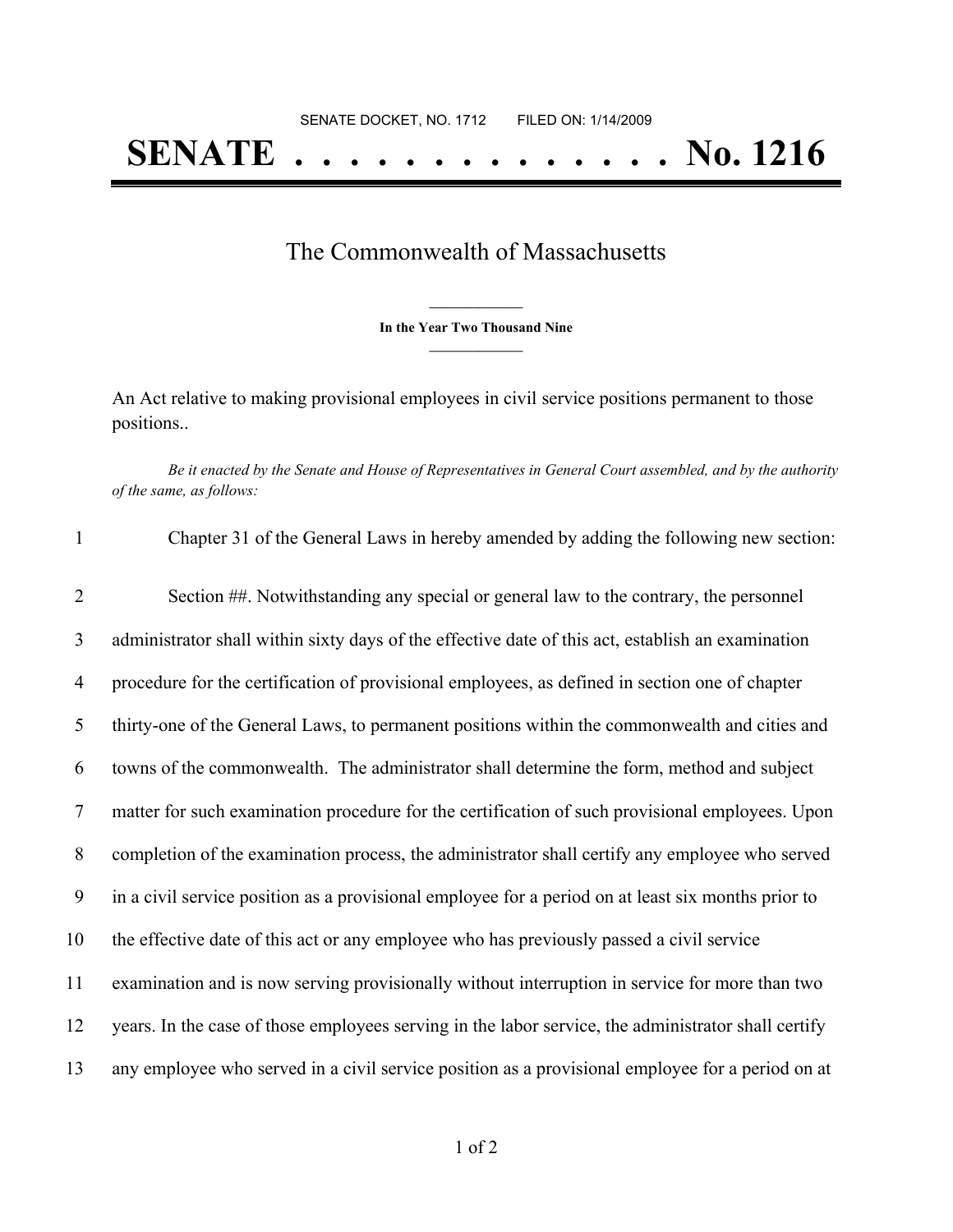## The Commonwealth of Massachusetts

**\_\_\_\_\_\_\_\_\_\_\_\_\_\_\_ In the Year Two Thousand Nine \_\_\_\_\_\_\_\_\_\_\_\_\_\_\_**

An Act relative to making provisional employees in civil service positions permanent to those positions..

Be it enacted by the Senate and House of Representatives in General Court assembled, and by the authority *of the same, as follows:*

| $\mathbf{1}$   | Chapter 31 of the General Laws in hereby amended by adding the following new section:               |
|----------------|-----------------------------------------------------------------------------------------------------|
| $\overline{2}$ | Section ##. Notwithstanding any special or general law to the contrary, the personnel               |
| 3              | administrator shall within sixty days of the effective date of this act, establish an examination   |
| $\overline{4}$ | procedure for the certification of provisional employees, as defined in section one of chapter      |
| 5              | thirty-one of the General Laws, to permanent positions within the commonwealth and cities and       |
| 6              | towns of the commonwealth. The administrator shall determine the form, method and subject           |
| $\tau$         | matter for such examination procedure for the certification of such provisional employees. Upon     |
| $8\phantom{.}$ | completion of the examination process, the administrator shall certify any employee who served      |
| 9              | in a civil service position as a provisional employee for a period on at least six months prior to  |
| 10             | the effective date of this act or any employee who has previously passed a civil service            |
| 11             | examination and is now serving provisionally without interruption in service for more than two      |
| 12             | years. In the case of those employees serving in the labor service, the administrator shall certify |
| 13             | any employee who served in a civil service position as a provisional employee for a period on at    |